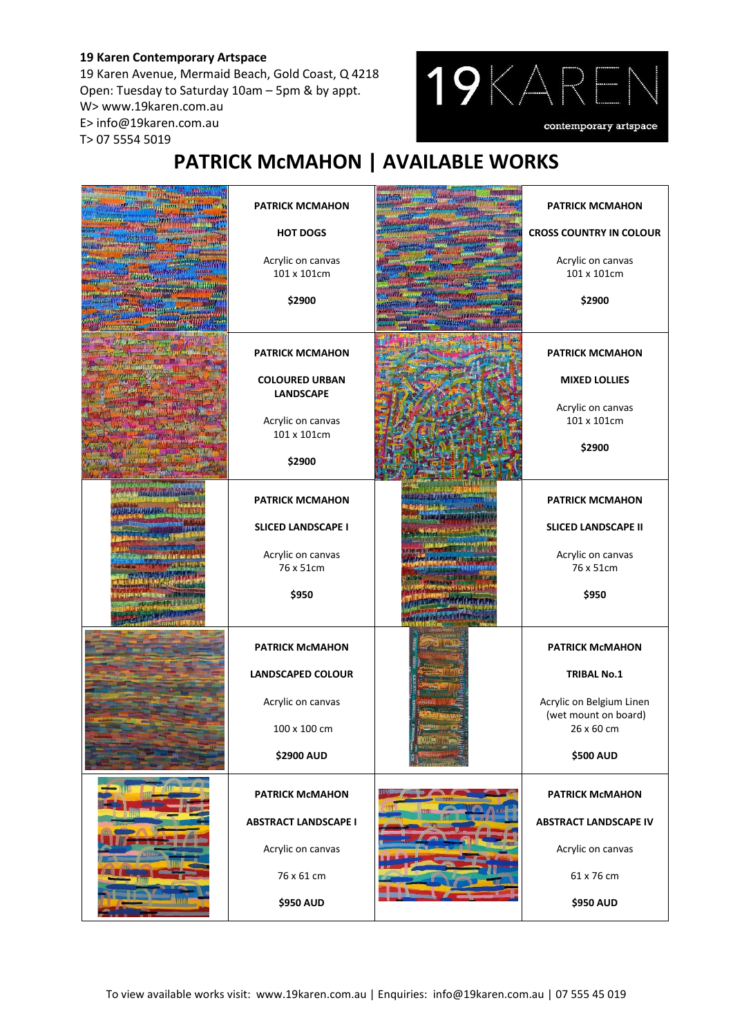### **19 Karen Contemporary Artspace**

19 Karen Avenue, Mermaid Beach, Gold Coast, Q 4218 Open: Tuesday to Saturday 10am – 5pm & by appt. W> www.19karen.com.au E> info@19karen.com.au T> 07 5554 5019



# **PATRICK McMAHON | AVAILABLE WORKS**

| <b>PATRICK MCMAHON</b>                    | <b>PATRICK MCMAHON</b>                           |
|-------------------------------------------|--------------------------------------------------|
| <b>HOT DOGS</b>                           | <b>CROSS COUNTRY IN COLOUR</b>                   |
| Acrylic on canvas<br>101 x 101cm          | Acrylic on canvas<br>101 x 101cm                 |
| \$2900                                    | \$2900                                           |
| <b>PATRICK MCMAHON</b>                    | <b>PATRICK MCMAHON</b>                           |
| <b>COLOURED URBAN</b><br><b>LANDSCAPE</b> | <b>MIXED LOLLIES</b>                             |
| Acrylic on canvas<br>101 x 101cm          | Acrylic on canvas<br>101 x 101cm                 |
| \$2900                                    | \$2900                                           |
| <b>PATRICK MCMAHON</b>                    | <b>PATRICK MCMAHON</b>                           |
| <b>SLICED LANDSCAPE I</b>                 | <b>SLICED LANDSCAPE II</b>                       |
| Acrylic on canvas<br>76 x 51cm            | Acrylic on canvas<br>76 x 51cm                   |
| \$950                                     | \$950                                            |
| <b>PATRICK McMAHON</b>                    | <b>PATRICK McMAHON</b>                           |
| <b>LANDSCAPED COLOUR</b>                  | <b>TRIBAL No.1</b>                               |
| Acrylic on canvas                         | Acrylic on Belgium Linen<br>(wet mount on board) |
| 100 x 100 cm                              | 26 x 60 cm                                       |
| <b>\$2900 AUD</b>                         | <b>\$500 AUD</b>                                 |
| <b>PATRICK MCMAHON</b>                    | <b>PATRICK McMAHON</b>                           |
| <b>ABSTRACT LANDSCAPE I</b>               | <b>ABSTRACT LANDSCAPE IV</b>                     |
| Acrylic on canvas                         | Acrylic on canvas                                |
| 76 x 61 cm                                | 61 x 76 cm                                       |
| <b>\$950 AUD</b>                          | <b>\$950 AUD</b>                                 |